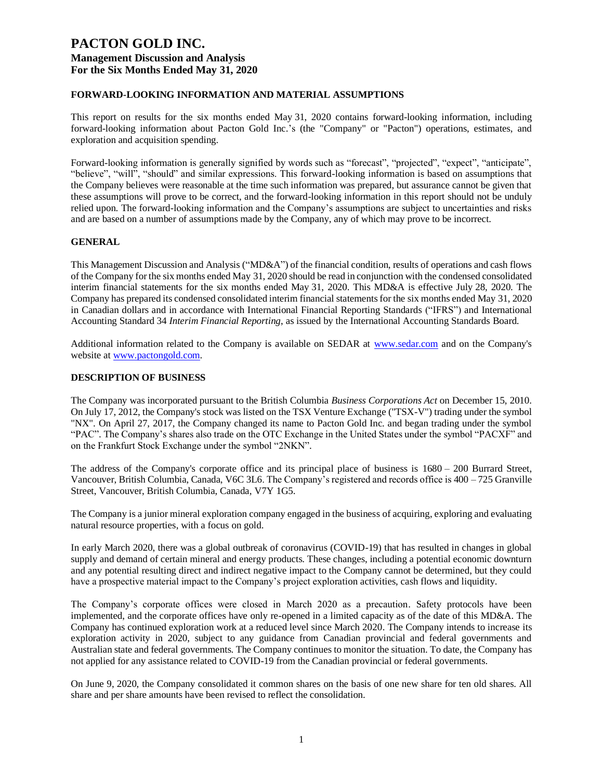#### **FORWARD-LOOKING INFORMATION AND MATERIAL ASSUMPTIONS**

This report on results for the six months ended May 31, 2020 contains forward-looking information, including forward-looking information about Pacton Gold Inc.'s (the "Company" or "Pacton") operations, estimates, and exploration and acquisition spending.

Forward-looking information is generally signified by words such as "forecast", "projected", "expect", "anticipate", "believe", "will", "should" and similar expressions. This forward-looking information is based on assumptions that the Company believes were reasonable at the time such information was prepared, but assurance cannot be given that these assumptions will prove to be correct, and the forward-looking information in this report should not be unduly relied upon. The forward-looking information and the Company's assumptions are subject to uncertainties and risks and are based on a number of assumptions made by the Company, any of which may prove to be incorrect.

#### **GENERAL**

This Management Discussion and Analysis ("MD&A") of the financial condition, results of operations and cash flows of the Company for the six months ended May 31, 2020 should be read in conjunction with the condensed consolidated interim financial statements for the six months ended May 31, 2020. This MD&A is effective July 28, 2020. The Company has prepared its condensed consolidated interim financial statements for the six months ended May 31, 2020 in Canadian dollars and in accordance with International Financial Reporting Standards ("IFRS") and International Accounting Standard 34 *Interim Financial Reporting*, as issued by the International Accounting Standards Board.

Additional information related to the Company is available on SEDAR at [www.sedar.com](http://www.sedar.com/) and on the Company's website at [www.pactongold.com.](http://www.pactongold.com/)

#### **DESCRIPTION OF BUSINESS**

The Company was incorporated pursuant to the British Columbia *Business Corporations Act* on December 15, 2010. On July 17, 2012, the Company's stock was listed on the TSX Venture Exchange ("TSX-V") trading under the symbol "NX". On April 27, 2017, the Company changed its name to Pacton Gold Inc. and began trading under the symbol "PAC". The Company's shares also trade on the OTC Exchange in the United States under the symbol "PACXF" and on the Frankfurt Stock Exchange under the symbol "2NKN".

The address of the Company's corporate office and its principal place of business is 1680 – 200 Burrard Street, Vancouver, British Columbia, Canada, V6C 3L6. The Company's registered and records office is 400 – 725 Granville Street, Vancouver, British Columbia, Canada, V7Y 1G5.

The Company is a junior mineral exploration company engaged in the business of acquiring, exploring and evaluating natural resource properties, with a focus on gold.

In early March 2020, there was a global outbreak of coronavirus (COVID-19) that has resulted in changes in global supply and demand of certain mineral and energy products. These changes, including a potential economic downturn and any potential resulting direct and indirect negative impact to the Company cannot be determined, but they could have a prospective material impact to the Company's project exploration activities, cash flows and liquidity.

The Company's corporate offices were closed in March 2020 as a precaution. Safety protocols have been implemented, and the corporate offices have only re-opened in a limited capacity as of the date of this MD&A. The Company has continued exploration work at a reduced level since March 2020. The Company intends to increase its exploration activity in 2020, subject to any guidance from Canadian provincial and federal governments and Australian state and federal governments. The Company continues to monitor the situation. To date, the Company has not applied for any assistance related to COVID-19 from the Canadian provincial or federal governments.

On June 9, 2020, the Company consolidated it common shares on the basis of one new share for ten old shares. All share and per share amounts have been revised to reflect the consolidation.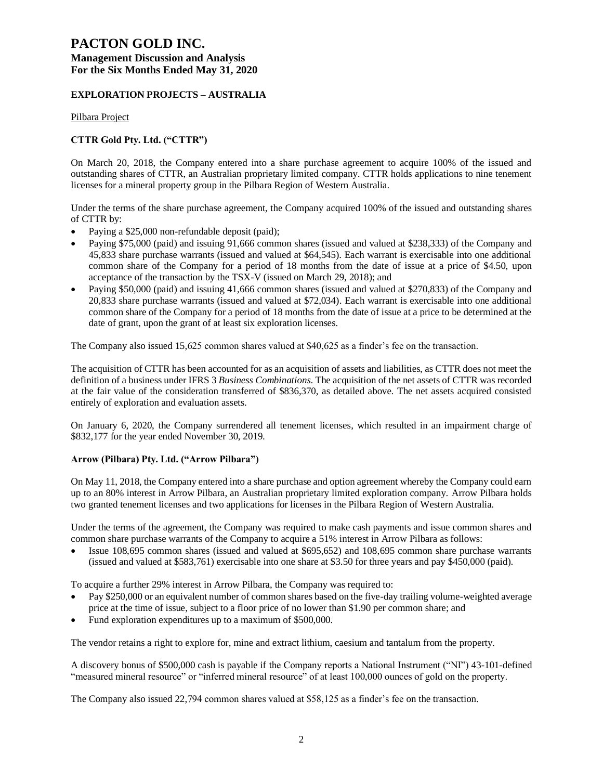## **PACTON GOLD INC.**

### **Management Discussion and Analysis For the Six Months Ended May 31, 2020**

#### **EXPLORATION PROJECTS – AUSTRALIA**

Pilbara Project

#### **CTTR Gold Pty. Ltd. ("CTTR")**

On March 20, 2018, the Company entered into a share purchase agreement to acquire 100% of the issued and outstanding shares of CTTR, an Australian proprietary limited company. CTTR holds applications to nine tenement licenses for a mineral property group in the Pilbara Region of Western Australia.

Under the terms of the share purchase agreement, the Company acquired 100% of the issued and outstanding shares of CTTR by:

- Paying a \$25,000 non-refundable deposit (paid);
- Paying \$75,000 (paid) and issuing 91,666 common shares (issued and valued at \$238,333) of the Company and 45,833 share purchase warrants (issued and valued at \$64,545). Each warrant is exercisable into one additional common share of the Company for a period of 18 months from the date of issue at a price of \$4.50, upon acceptance of the transaction by the TSX-V (issued on March 29, 2018); and
- Paying \$50,000 (paid) and issuing 41,666 common shares (issued and valued at \$270,833) of the Company and 20,833 share purchase warrants (issued and valued at \$72,034). Each warrant is exercisable into one additional common share of the Company for a period of 18 months from the date of issue at a price to be determined at the date of grant, upon the grant of at least six exploration licenses.

The Company also issued 15,625 common shares valued at \$40,625 as a finder's fee on the transaction.

The acquisition of CTTR has been accounted for as an acquisition of assets and liabilities, as CTTR does not meet the definition of a business under IFRS 3 *Business Combinations*. The acquisition of the net assets of CTTR was recorded at the fair value of the consideration transferred of \$836,370, as detailed above. The net assets acquired consisted entirely of exploration and evaluation assets.

On January 6, 2020, the Company surrendered all tenement licenses, which resulted in an impairment charge of \$832,177 for the year ended November 30, 2019.

#### **Arrow (Pilbara) Pty. Ltd. ("Arrow Pilbara")**

On May 11, 2018, the Company entered into a share purchase and option agreement whereby the Company could earn up to an 80% interest in Arrow Pilbara, an Australian proprietary limited exploration company. Arrow Pilbara holds two granted tenement licenses and two applications for licenses in the Pilbara Region of Western Australia.

Under the terms of the agreement, the Company was required to make cash payments and issue common shares and common share purchase warrants of the Company to acquire a 51% interest in Arrow Pilbara as follows:

• Issue 108,695 common shares (issued and valued at \$695,652) and 108,695 common share purchase warrants (issued and valued at \$583,761) exercisable into one share at \$3.50 for three years and pay \$450,000 (paid).

To acquire a further 29% interest in Arrow Pilbara, the Company was required to:

- Pay \$250,000 or an equivalent number of common shares based on the five-day trailing volume-weighted average price at the time of issue, subject to a floor price of no lower than \$1.90 per common share; and
- Fund exploration expenditures up to a maximum of \$500,000.

The vendor retains a right to explore for, mine and extract lithium, caesium and tantalum from the property.

A discovery bonus of \$500,000 cash is payable if the Company reports a National Instrument ("NI") 43-101-defined "measured mineral resource" or "inferred mineral resource" of at least 100,000 ounces of gold on the property.

The Company also issued 22,794 common shares valued at \$58,125 as a finder's fee on the transaction.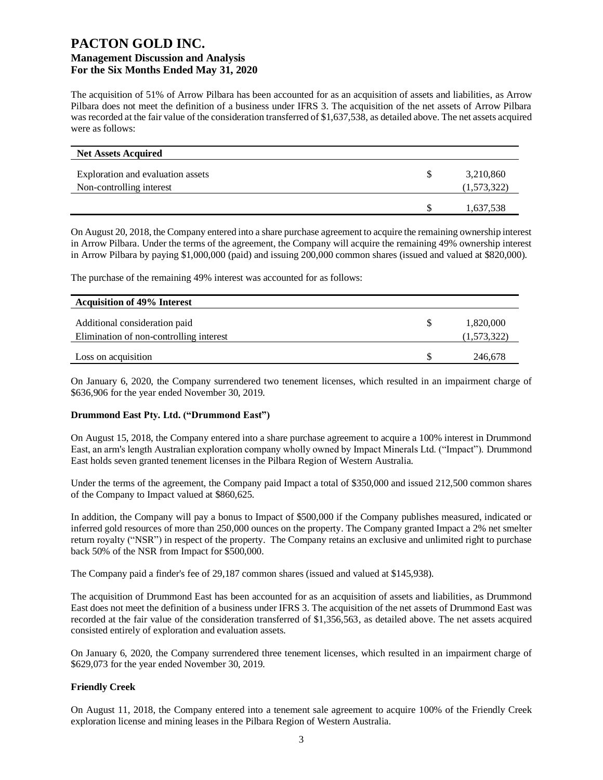The acquisition of 51% of Arrow Pilbara has been accounted for as an acquisition of assets and liabilities, as Arrow Pilbara does not meet the definition of a business under IFRS 3. The acquisition of the net assets of Arrow Pilbara was recorded at the fair value of the consideration transferred of \$1,637,538, as detailed above. The net assets acquired were as follows:

| <b>Net Assets Acquired</b>        |             |
|-----------------------------------|-------------|
| Exploration and evaluation assets | 3,210,860   |
| Non-controlling interest          | (1,573,322) |
|                                   | 1,637,538   |

On August 20, 2018, the Company entered into a share purchase agreement to acquire the remaining ownership interest in Arrow Pilbara. Under the terms of the agreement, the Company will acquire the remaining 49% ownership interest in Arrow Pilbara by paying \$1,000,000 (paid) and issuing 200,000 common shares (issued and valued at \$820,000).

The purchase of the remaining 49% interest was accounted for as follows:

| <b>Acquisition of 49% Interest</b>                                       |                          |
|--------------------------------------------------------------------------|--------------------------|
| Additional consideration paid<br>Elimination of non-controlling interest | 1,820,000<br>(1,573,322) |
|                                                                          |                          |
| Loss on acquisition                                                      | 246,678                  |

On January 6, 2020, the Company surrendered two tenement licenses, which resulted in an impairment charge of \$636,906 for the year ended November 30, 2019.

#### **Drummond East Pty. Ltd. ("Drummond East")**

On August 15, 2018, the Company entered into a share purchase agreement to acquire a 100% interest in Drummond East, an arm's length Australian exploration company wholly owned by Impact Minerals Ltd. ("Impact"). Drummond East holds seven granted tenement licenses in the Pilbara Region of Western Australia.

Under the terms of the agreement, the Company paid Impact a total of \$350,000 and issued 212,500 common shares of the Company to Impact valued at \$860,625.

In addition, the Company will pay a bonus to Impact of \$500,000 if the Company publishes measured, indicated or inferred gold resources of more than 250,000 ounces on the property. The Company granted Impact a 2% net smelter return royalty ("NSR") in respect of the property. The Company retains an exclusive and unlimited right to purchase back 50% of the NSR from Impact for \$500,000.

The Company paid a finder's fee of 29,187 common shares (issued and valued at \$145,938).

The acquisition of Drummond East has been accounted for as an acquisition of assets and liabilities, as Drummond East does not meet the definition of a business under IFRS 3. The acquisition of the net assets of Drummond East was recorded at the fair value of the consideration transferred of \$1,356,563, as detailed above. The net assets acquired consisted entirely of exploration and evaluation assets.

On January 6, 2020, the Company surrendered three tenement licenses, which resulted in an impairment charge of \$629,073 for the year ended November 30, 2019.

#### **Friendly Creek**

On August 11, 2018, the Company entered into a tenement sale agreement to acquire 100% of the Friendly Creek exploration license and mining leases in the Pilbara Region of Western Australia.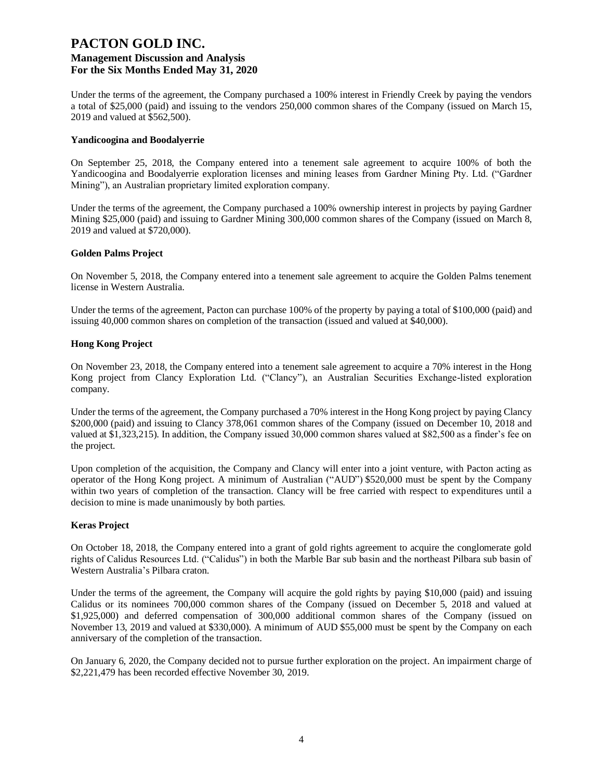Under the terms of the agreement, the Company purchased a 100% interest in Friendly Creek by paying the vendors a total of \$25,000 (paid) and issuing to the vendors 250,000 common shares of the Company (issued on March 15, 2019 and valued at \$562,500).

#### **Yandicoogina and Boodalyerrie**

On September 25, 2018, the Company entered into a tenement sale agreement to acquire 100% of both the Yandicoogina and Boodalyerrie exploration licenses and mining leases from Gardner Mining Pty. Ltd. ("Gardner Mining"), an Australian proprietary limited exploration company.

Under the terms of the agreement, the Company purchased a 100% ownership interest in projects by paying Gardner Mining \$25,000 (paid) and issuing to Gardner Mining 300,000 common shares of the Company (issued on March 8, 2019 and valued at \$720,000).

#### **Golden Palms Project**

On November 5, 2018, the Company entered into a tenement sale agreement to acquire the Golden Palms tenement license in Western Australia.

Under the terms of the agreement, Pacton can purchase 100% of the property by paying a total of \$100,000 (paid) and issuing 40,000 common shares on completion of the transaction (issued and valued at \$40,000).

#### **Hong Kong Project**

On November 23, 2018, the Company entered into a tenement sale agreement to acquire a 70% interest in the Hong Kong project from Clancy Exploration Ltd. ("Clancy"), an Australian Securities Exchange-listed exploration company.

Under the terms of the agreement, the Company purchased a 70% interest in the Hong Kong project by paying Clancy \$200,000 (paid) and issuing to Clancy 378,061 common shares of the Company (issued on December 10, 2018 and valued at \$1,323,215). In addition, the Company issued 30,000 common shares valued at \$82,500 as a finder's fee on the project.

Upon completion of the acquisition, the Company and Clancy will enter into a joint venture, with Pacton acting as operator of the Hong Kong project. A minimum of Australian ("AUD") \$520,000 must be spent by the Company within two years of completion of the transaction. Clancy will be free carried with respect to expenditures until a decision to mine is made unanimously by both parties.

#### **Keras Project**

On October 18, 2018, the Company entered into a grant of gold rights agreement to acquire the conglomerate gold rights of Calidus Resources Ltd. ("Calidus") in both the Marble Bar sub basin and the northeast Pilbara sub basin of Western Australia's Pilbara craton.

Under the terms of the agreement, the Company will acquire the gold rights by paying \$10,000 (paid) and issuing Calidus or its nominees 700,000 common shares of the Company (issued on December 5, 2018 and valued at \$1,925,000) and deferred compensation of 300,000 additional common shares of the Company (issued on November 13, 2019 and valued at \$330,000). A minimum of AUD \$55,000 must be spent by the Company on each anniversary of the completion of the transaction.

On January 6, 2020, the Company decided not to pursue further exploration on the project. An impairment charge of \$2,221,479 has been recorded effective November 30, 2019.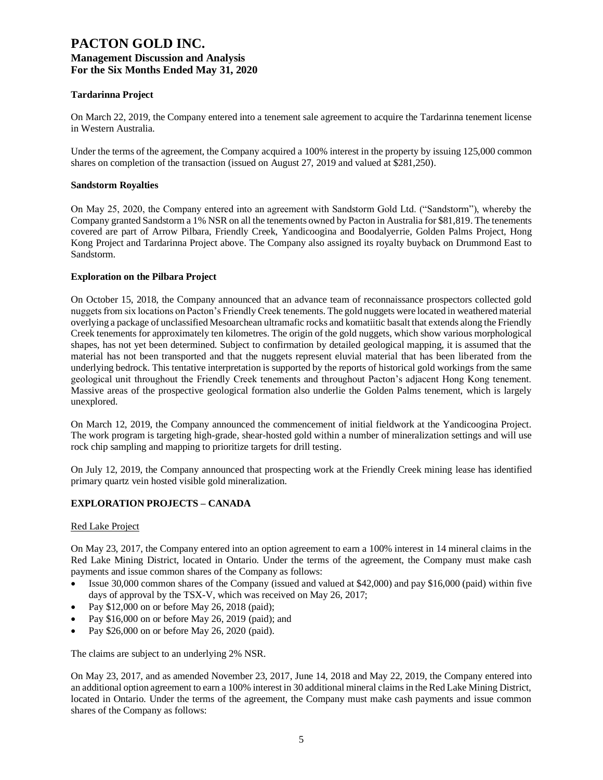#### **Tardarinna Project**

On March 22, 2019, the Company entered into a tenement sale agreement to acquire the Tardarinna tenement license in Western Australia.

Under the terms of the agreement, the Company acquired a 100% interest in the property by issuing 125,000 common shares on completion of the transaction (issued on August 27, 2019 and valued at \$281,250).

#### **Sandstorm Royalties**

On May 25, 2020, the Company entered into an agreement with Sandstorm Gold Ltd. ("Sandstorm"), whereby the Company granted Sandstorm a 1% NSR on all the tenements owned by Pacton in Australia for \$81,819. The tenements covered are part of Arrow Pilbara, Friendly Creek, Yandicoogina and Boodalyerrie, Golden Palms Project, Hong Kong Project and Tardarinna Project above. The Company also assigned its royalty buyback on Drummond East to Sandstorm.

#### **Exploration on the Pilbara Project**

On October 15, 2018, the Company announced that an advance team of reconnaissance prospectors collected gold nuggets from six locations on Pacton's Friendly Creek tenements. The gold nuggets were located in weathered material overlying a package of unclassified Mesoarchean ultramafic rocks and komatiitic basalt that extends along the Friendly Creek tenements for approximately ten kilometres. The origin of the gold nuggets, which show various morphological shapes, has not yet been determined. Subject to confirmation by detailed geological mapping, it is assumed that the material has not been transported and that the nuggets represent eluvial material that has been liberated from the underlying bedrock. This tentative interpretation is supported by the reports of historical gold workings from the same geological unit throughout the Friendly Creek tenements and throughout Pacton's adjacent Hong Kong tenement. Massive areas of the prospective geological formation also underlie the Golden Palms tenement, which is largely unexplored.

On March 12, 2019, the Company announced the commencement of initial fieldwork at the Yandicoogina Project. The work program is targeting high-grade, shear-hosted gold within a number of mineralization settings and will use rock chip sampling and mapping to prioritize targets for drill testing.

On July 12, 2019, the Company announced that prospecting work at the Friendly Creek mining lease has identified primary quartz vein hosted visible gold mineralization.

#### **EXPLORATION PROJECTS – CANADA**

#### Red Lake Project

On May 23, 2017, the Company entered into an option agreement to earn a 100% interest in 14 mineral claims in the Red Lake Mining District, located in Ontario. Under the terms of the agreement, the Company must make cash payments and issue common shares of the Company as follows:

- Issue 30,000 common shares of the Company (issued and valued at \$42,000) and pay \$16,000 (paid) within five days of approval by the TSX-V, which was received on May 26, 2017;
- Pay \$12,000 on or before May 26, 2018 (paid);
- Pay \$16,000 on or before May 26, 2019 (paid); and
- Pay \$26,000 on or before May 26, 2020 (paid).

The claims are subject to an underlying 2% NSR.

On May 23, 2017, and as amended November 23, 2017, June 14, 2018 and May 22, 2019, the Company entered into an additional option agreement to earn a 100% interest in 30 additional mineral claims in the Red Lake Mining District, located in Ontario. Under the terms of the agreement, the Company must make cash payments and issue common shares of the Company as follows: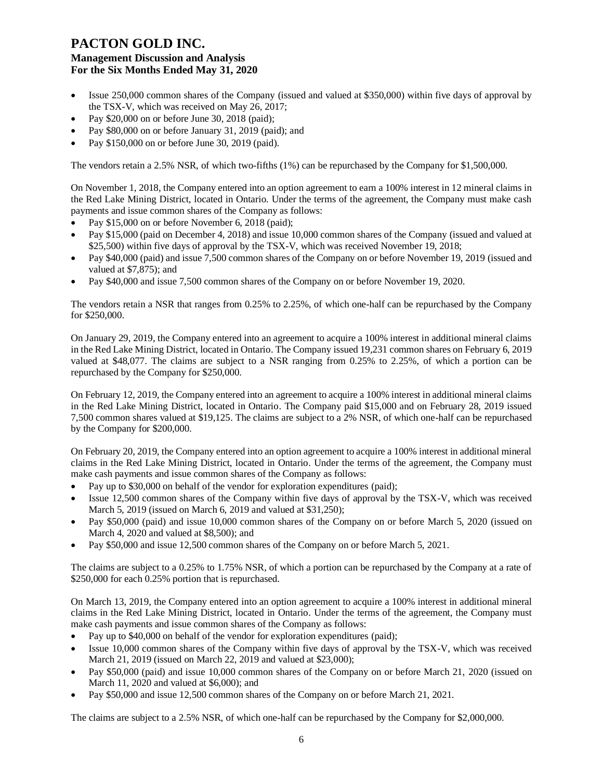- Issue 250,000 common shares of the Company (issued and valued at \$350,000) within five days of approval by the TSX-V, which was received on May 26, 2017;
- Pay \$20,000 on or before June 30, 2018 (paid);
- Pay \$80,000 on or before January 31, 2019 (paid); and
- Pay \$150,000 on or before June 30, 2019 (paid).

The vendors retain a 2.5% NSR, of which two-fifths (1%) can be repurchased by the Company for \$1,500,000.

On November 1, 2018, the Company entered into an option agreement to earn a 100% interest in 12 mineral claims in the Red Lake Mining District, located in Ontario. Under the terms of the agreement, the Company must make cash payments and issue common shares of the Company as follows:

- Pay \$15,000 on or before November 6, 2018 (paid);
- Pay \$15,000 (paid on December 4, 2018) and issue 10,000 common shares of the Company (issued and valued at \$25,500) within five days of approval by the TSX-V, which was received November 19, 2018;
- Pay \$40,000 (paid) and issue 7,500 common shares of the Company on or before November 19, 2019 (issued and valued at \$7,875); and
- Pay \$40,000 and issue 7,500 common shares of the Company on or before November 19, 2020.

The vendors retain a NSR that ranges from 0.25% to 2.25%, of which one-half can be repurchased by the Company for \$250,000.

On January 29, 2019, the Company entered into an agreement to acquire a 100% interest in additional mineral claims in the Red Lake Mining District, located in Ontario. The Company issued 19,231 common shares on February 6, 2019 valued at \$48,077. The claims are subject to a NSR ranging from 0.25% to 2.25%, of which a portion can be repurchased by the Company for \$250,000.

On February 12, 2019, the Company entered into an agreement to acquire a 100% interest in additional mineral claims in the Red Lake Mining District, located in Ontario. The Company paid \$15,000 and on February 28, 2019 issued 7,500 common shares valued at \$19,125. The claims are subject to a 2% NSR, of which one-half can be repurchased by the Company for \$200,000.

On February 20, 2019, the Company entered into an option agreement to acquire a 100% interest in additional mineral claims in the Red Lake Mining District, located in Ontario. Under the terms of the agreement, the Company must make cash payments and issue common shares of the Company as follows:

- Pay up to \$30,000 on behalf of the vendor for exploration expenditures (paid);
- Issue 12,500 common shares of the Company within five days of approval by the TSX-V, which was received March 5, 2019 (issued on March 6, 2019 and valued at \$31,250);
- Pay \$50,000 (paid) and issue 10,000 common shares of the Company on or before March 5, 2020 (issued on March 4, 2020 and valued at \$8,500); and
- Pay \$50,000 and issue 12,500 common shares of the Company on or before March 5, 2021.

The claims are subject to a 0.25% to 1.75% NSR, of which a portion can be repurchased by the Company at a rate of \$250,000 for each 0.25% portion that is repurchased.

On March 13, 2019, the Company entered into an option agreement to acquire a 100% interest in additional mineral claims in the Red Lake Mining District, located in Ontario. Under the terms of the agreement, the Company must make cash payments and issue common shares of the Company as follows:

- Pay up to \$40,000 on behalf of the vendor for exploration expenditures (paid);
- Issue 10,000 common shares of the Company within five days of approval by the TSX-V, which was received March 21, 2019 (issued on March 22, 2019 and valued at \$23,000);
- Pay \$50,000 (paid) and issue 10,000 common shares of the Company on or before March 21, 2020 (issued on March 11, 2020 and valued at \$6,000); and
- Pay \$50,000 and issue 12,500 common shares of the Company on or before March 21, 2021.

The claims are subject to a 2.5% NSR, of which one-half can be repurchased by the Company for \$2,000,000.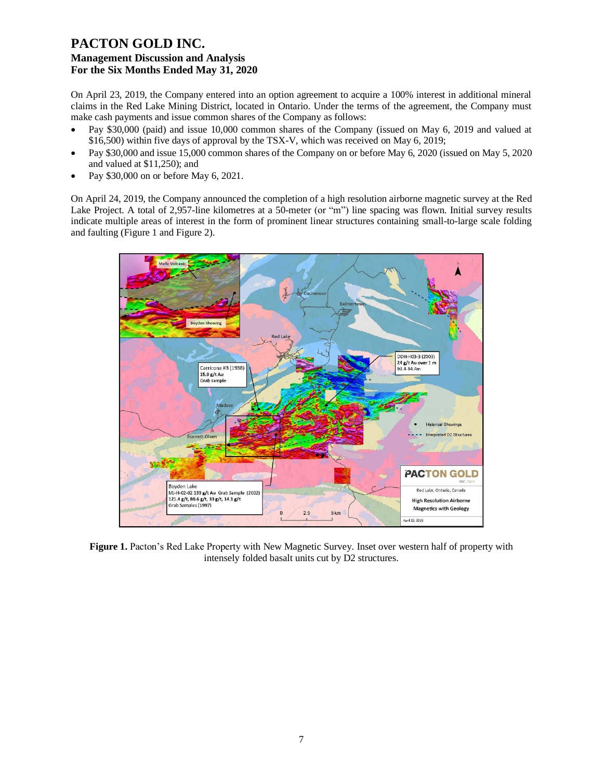On April 23, 2019, the Company entered into an option agreement to acquire a 100% interest in additional mineral claims in the Red Lake Mining District, located in Ontario. Under the terms of the agreement, the Company must make cash payments and issue common shares of the Company as follows:

- Pay \$30,000 (paid) and issue 10,000 common shares of the Company (issued on May 6, 2019 and valued at \$16,500) within five days of approval by the TSX-V, which was received on May 6, 2019;
- Pay \$30,000 and issue 15,000 common shares of the Company on or before May 6, 2020 (issued on May 5, 2020 and valued at \$11,250); and
- Pay \$30,000 on or before May 6, 2021.

On April 24, 2019, the Company announced the completion of a high resolution airborne magnetic survey at the Red Lake Project. A total of 2,957-line kilometres at a 50-meter (or "m") line spacing was flown. Initial survey results indicate multiple areas of interest in the form of prominent linear structures containing small-to-large scale folding and faulting (Figure 1 and Figure 2).



**Figure 1.** Pacton's Red Lake Property with New Magnetic Survey. Inset over western half of property with intensely folded basalt units cut by D2 structures.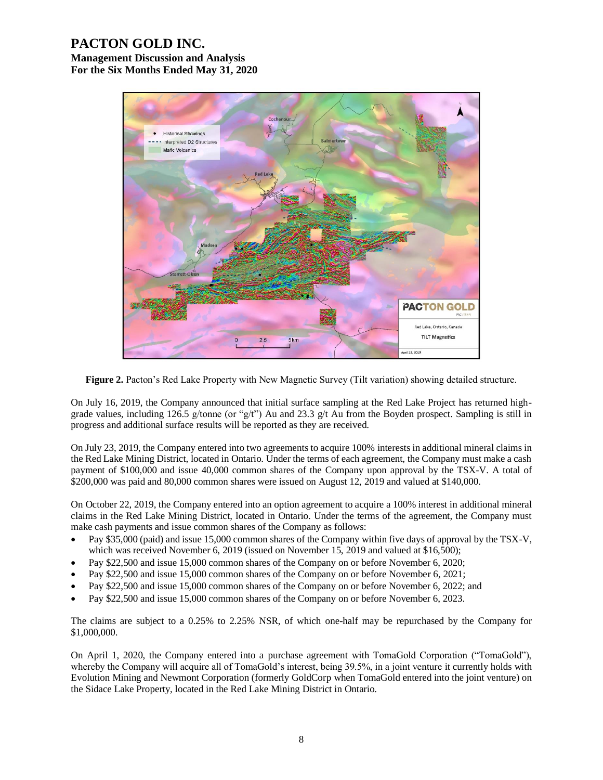# **PACTON GOLD INC.**

**Management Discussion and Analysis For the Six Months Ended May 31, 2020**



**Figure 2.** Pacton's Red Lake Property with New Magnetic Survey (Tilt variation) showing detailed structure.

On July 16, 2019, the Company announced that initial surface sampling at the Red Lake Project has returned highgrade values, including 126.5 g/tonne (or "g/t") Au and 23.3 g/t Au from the Boyden prospect. Sampling is still in progress and additional surface results will be reported as they are received.

On July 23, 2019, the Company entered into two agreements to acquire 100% interests in additional mineral claims in the Red Lake Mining District, located in Ontario. Under the terms of each agreement, the Company must make a cash payment of \$100,000 and issue 40,000 common shares of the Company upon approval by the TSX-V. A total of \$200,000 was paid and 80,000 common shares were issued on August 12, 2019 and valued at \$140,000.

On October 22, 2019, the Company entered into an option agreement to acquire a 100% interest in additional mineral claims in the Red Lake Mining District, located in Ontario. Under the terms of the agreement, the Company must make cash payments and issue common shares of the Company as follows:

- Pay \$35,000 (paid) and issue 15,000 common shares of the Company within five days of approval by the TSX-V, which was received November 6, 2019 (issued on November 15, 2019 and valued at \$16,500);
- Pay \$22,500 and issue 15,000 common shares of the Company on or before November 6, 2020;
- Pay \$22,500 and issue 15,000 common shares of the Company on or before November 6, 2021;
- Pay \$22,500 and issue 15,000 common shares of the Company on or before November 6, 2022; and
- Pay \$22,500 and issue 15,000 common shares of the Company on or before November 6, 2023.

The claims are subject to a 0.25% to 2.25% NSR, of which one-half may be repurchased by the Company for \$1,000,000.

On April 1, 2020, the Company entered into a purchase agreement with TomaGold Corporation ("TomaGold"), whereby the Company will acquire all of TomaGold's interest, being 39.5%, in a joint venture it currently holds with Evolution Mining and Newmont Corporation (formerly GoldCorp when TomaGold entered into the joint venture) on the Sidace Lake Property, located in the Red Lake Mining District in Ontario.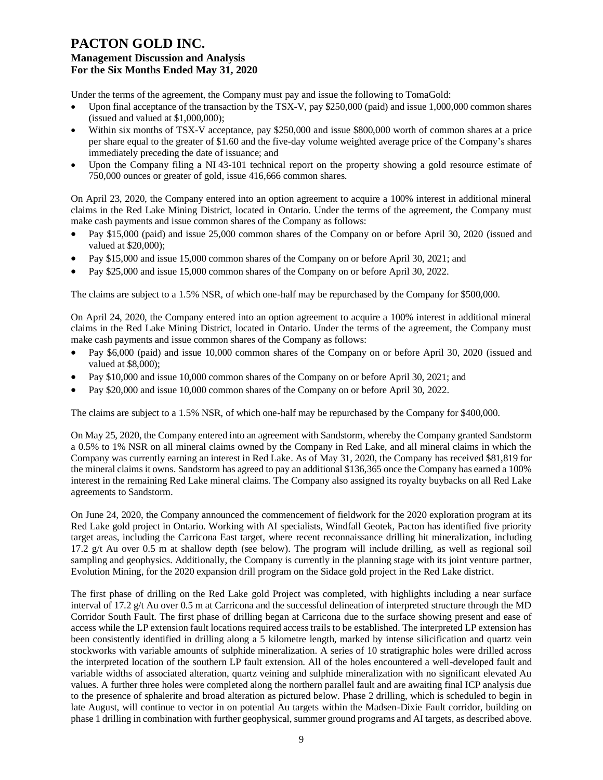Under the terms of the agreement, the Company must pay and issue the following to TomaGold:

- Upon final acceptance of the transaction by the TSX-V, pay \$250,000 (paid) and issue 1,000,000 common shares (issued and valued at \$1,000,000);
- Within six months of TSX-V acceptance, pay \$250,000 and issue \$800,000 worth of common shares at a price per share equal to the greater of \$1.60 and the five-day volume weighted average price of the Company's shares immediately preceding the date of issuance; and
- Upon the Company filing a NI 43-101 technical report on the property showing a gold resource estimate of 750,000 ounces or greater of gold, issue 416,666 common shares.

On April 23, 2020, the Company entered into an option agreement to acquire a 100% interest in additional mineral claims in the Red Lake Mining District, located in Ontario. Under the terms of the agreement, the Company must make cash payments and issue common shares of the Company as follows:

- Pay \$15,000 (paid) and issue 25,000 common shares of the Company on or before April 30, 2020 (issued and valued at \$20,000);
- Pay \$15,000 and issue 15,000 common shares of the Company on or before April 30, 2021; and
- Pay \$25,000 and issue 15,000 common shares of the Company on or before April 30, 2022.

The claims are subject to a 1.5% NSR, of which one-half may be repurchased by the Company for \$500,000.

On April 24, 2020, the Company entered into an option agreement to acquire a 100% interest in additional mineral claims in the Red Lake Mining District, located in Ontario. Under the terms of the agreement, the Company must make cash payments and issue common shares of the Company as follows:

- Pay \$6,000 (paid) and issue 10,000 common shares of the Company on or before April 30, 2020 (issued and valued at \$8,000);
- Pay \$10,000 and issue 10,000 common shares of the Company on or before April 30, 2021; and
- Pay \$20,000 and issue 10,000 common shares of the Company on or before April 30, 2022.

The claims are subject to a 1.5% NSR, of which one-half may be repurchased by the Company for \$400,000.

On May 25, 2020, the Company entered into an agreement with Sandstorm, whereby the Company granted Sandstorm a 0.5% to 1% NSR on all mineral claims owned by the Company in Red Lake, and all mineral claims in which the Company was currently earning an interest in Red Lake. As of May 31, 2020, the Company has received \$81,819 for the mineral claims it owns. Sandstorm has agreed to pay an additional \$136,365 once the Company has earned a 100% interest in the remaining Red Lake mineral claims. The Company also assigned its royalty buybacks on all Red Lake agreements to Sandstorm.

On June 24, 2020, the Company announced the commencement of fieldwork for the 2020 exploration program at its Red Lake gold project in Ontario. Working with AI specialists, Windfall Geotek, Pacton has identified five priority target areas, including the Carricona East target, where recent reconnaissance drilling hit mineralization, including 17.2 g/t Au over 0.5 m at shallow depth (see below). The program will include drilling, as well as regional soil sampling and geophysics. Additionally, the Company is currently in the planning stage with its joint venture partner, Evolution Mining, for the 2020 expansion drill program on the Sidace gold project in the Red Lake district.

The first phase of drilling on the Red Lake gold Project was completed, with highlights including a near surface interval of 17.2 g/t Au over 0.5 m at Carricona and the successful delineation of interpreted structure through the MD Corridor South Fault. The first phase of drilling began at Carricona due to the surface showing present and ease of access while the LP extension fault locations required access trails to be established. The interpreted LP extension has been consistently identified in drilling along a 5 kilometre length, marked by intense silicification and quartz vein stockworks with variable amounts of sulphide mineralization. A series of 10 stratigraphic holes were drilled across the interpreted location of the southern LP fault extension. All of the holes encountered a well-developed fault and variable widths of associated alteration, quartz veining and sulphide mineralization with no significant elevated Au values. A further three holes were completed along the northern parallel fault and are awaiting final ICP analysis due to the presence of sphalerite and broad alteration as pictured below. Phase 2 drilling, which is scheduled to begin in late August, will continue to vector in on potential Au targets within the Madsen-Dixie Fault corridor, building on phase 1 drilling in combination with further geophysical, summer ground programs and AI targets, as described above.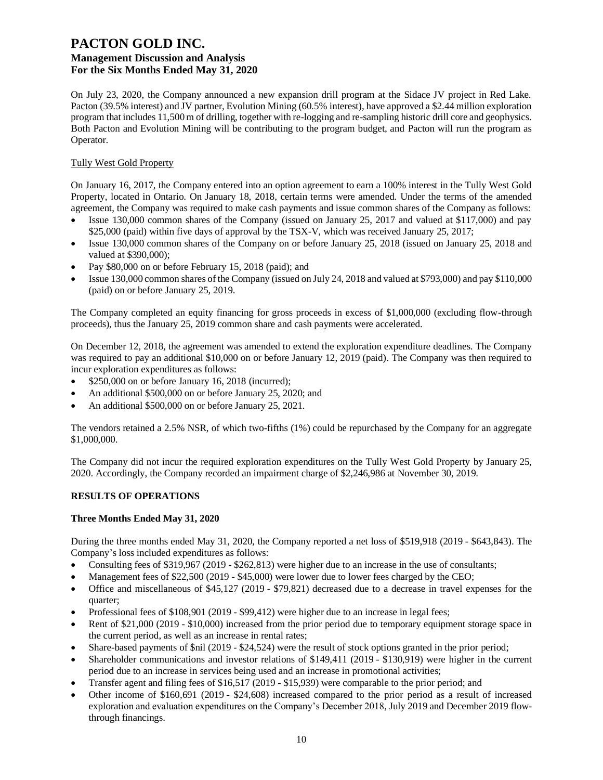On July 23, 2020, the Company announced a new expansion drill program at the Sidace JV project in Red Lake. Pacton (39.5% interest) and JV partner, Evolution Mining (60.5% interest), have approved a \$2.44 million exploration program that includes 11,500 m of drilling, together with re-logging and re-sampling historic drill core and geophysics. Both Pacton and Evolution Mining will be contributing to the program budget, and Pacton will run the program as Operator.

#### Tully West Gold Property

On January 16, 2017, the Company entered into an option agreement to earn a 100% interest in the Tully West Gold Property, located in Ontario. On January 18, 2018, certain terms were amended. Under the terms of the amended agreement, the Company was required to make cash payments and issue common shares of the Company as follows:

- Issue 130,000 common shares of the Company (issued on January 25, 2017 and valued at \$117,000) and pay \$25,000 (paid) within five days of approval by the TSX-V, which was received January 25, 2017;
- Issue 130,000 common shares of the Company on or before January 25, 2018 (issued on January 25, 2018 and valued at \$390,000);
- Pay \$80,000 on or before February 15, 2018 (paid); and
- Issue 130,000 common shares of the Company (issued on July 24, 2018 and valued at \$793,000) and pay \$110,000 (paid) on or before January 25, 2019.

The Company completed an equity financing for gross proceeds in excess of \$1,000,000 (excluding flow-through proceeds), thus the January 25, 2019 common share and cash payments were accelerated.

On December 12, 2018, the agreement was amended to extend the exploration expenditure deadlines. The Company was required to pay an additional \$10,000 on or before January 12, 2019 (paid). The Company was then required to incur exploration expenditures as follows:

- \$250,000 on or before January 16, 2018 (incurred);
- An additional \$500,000 on or before January 25, 2020; and
- An additional \$500,000 on or before January 25, 2021.

The vendors retained a 2.5% NSR, of which two-fifths (1%) could be repurchased by the Company for an aggregate \$1,000,000.

The Company did not incur the required exploration expenditures on the Tully West Gold Property by January 25, 2020. Accordingly, the Company recorded an impairment charge of \$2,246,986 at November 30, 2019.

#### **RESULTS OF OPERATIONS**

#### **Three Months Ended May 31, 2020**

During the three months ended May 31, 2020, the Company reported a net loss of \$519,918 (2019 - \$643,843). The Company's loss included expenditures as follows:

- Consulting fees of \$319,967 (2019 \$262,813) were higher due to an increase in the use of consultants;
- Management fees of \$22,500 (2019 \$45,000) were lower due to lower fees charged by the CEO;
- Office and miscellaneous of \$45,127 (2019 \$79,821) decreased due to a decrease in travel expenses for the quarter;
- Professional fees of \$108,901 (2019 \$99,412) were higher due to an increase in legal fees;
- Rent of \$21,000 (2019 \$10,000) increased from the prior period due to temporary equipment storage space in the current period, as well as an increase in rental rates;
- Share-based payments of \$nil (2019 \$24,524) were the result of stock options granted in the prior period;
- Shareholder communications and investor relations of \$149,411 (2019 \$130,919) were higher in the current period due to an increase in services being used and an increase in promotional activities;
- Transfer agent and filing fees of \$16,517 (2019 \$15,939) were comparable to the prior period; and
- Other income of \$160,691 (2019 \$24,608) increased compared to the prior period as a result of increased exploration and evaluation expenditures on the Company's December 2018, July 2019 and December 2019 flowthrough financings.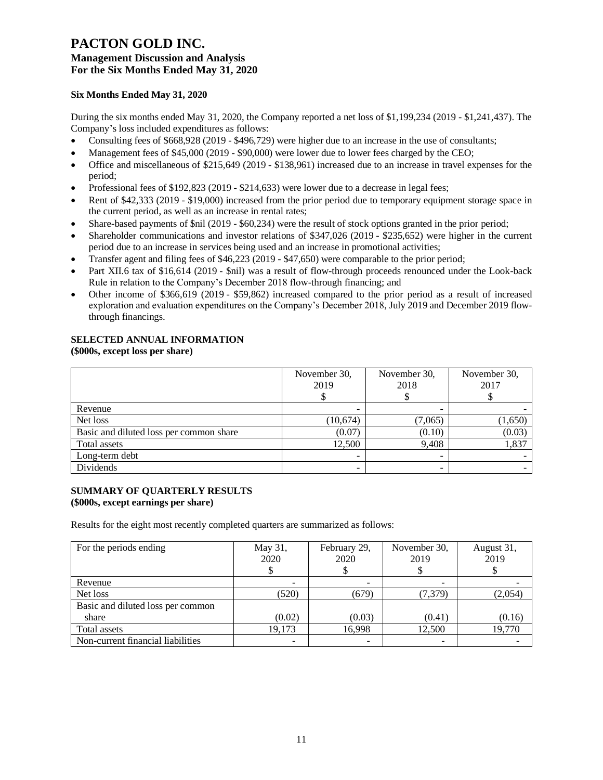#### **Six Months Ended May 31, 2020**

During the six months ended May 31, 2020, the Company reported a net loss of \$1,199,234 (2019 - \$1,241,437). The Company's loss included expenditures as follows:

- Consulting fees of \$668,928 (2019 \$496,729) were higher due to an increase in the use of consultants;
- Management fees of \$45,000 (2019 \$90,000) were lower due to lower fees charged by the CEO;
- Office and miscellaneous of \$215,649 (2019 \$138,961) increased due to an increase in travel expenses for the period;
- Professional fees of \$192,823 (2019 \$214,633) were lower due to a decrease in legal fees;
- Rent of \$42,333 (2019 \$19,000) increased from the prior period due to temporary equipment storage space in the current period, as well as an increase in rental rates;
- Share-based payments of \$nil (2019 \$60,234) were the result of stock options granted in the prior period;
- Shareholder communications and investor relations of \$347,026 (2019 \$235,652) were higher in the current period due to an increase in services being used and an increase in promotional activities;
- Transfer agent and filing fees of \$46,223 (2019 \$47,650) were comparable to the prior period;
- Part XII.6 tax of \$16,614 (2019 \$nil) was a result of flow-through proceeds renounced under the Look-back Rule in relation to the Company's December 2018 flow-through financing; and
- Other income of \$366,619 (2019 \$59,862) increased compared to the prior period as a result of increased exploration and evaluation expenditures on the Company's December 2018, July 2019 and December 2019 flowthrough financings.

## **SELECTED ANNUAL INFORMATION**

#### **(\$000s, except loss per share)**

|                                         | November 30,<br>2019     | November 30,<br>2018 | November 30,<br>2017 |
|-----------------------------------------|--------------------------|----------------------|----------------------|
| Revenue                                 | -                        |                      |                      |
| Net loss                                | (10,674)                 | (7,065)              | (1,650)              |
| Basic and diluted loss per common share | (0.07)                   | (0.10)               | (0.03)               |
| Total assets                            | 12,500                   | 9.408                | 1,837                |
| Long-term debt                          | $\overline{\phantom{a}}$ | ۰                    |                      |
| Dividends                               | -                        |                      |                      |

#### **SUMMARY OF QUARTERLY RESULTS (\$000s, except earnings per share)**

Results for the eight most recently completed quarters are summarized as follows:

| For the periods ending            | May 31,<br>2020 | February 29,<br>2020 | November 30,<br>2019 | August 31,<br>2019 |
|-----------------------------------|-----------------|----------------------|----------------------|--------------------|
| Revenue                           |                 |                      |                      |                    |
| Net loss                          | (520)           | (679)                | (7, 379)             | (2,054)            |
| Basic and diluted loss per common |                 |                      |                      |                    |
| share                             | (0.02)          | (0.03)               | (0.41)               | (0.16)             |
| Total assets                      | 19,173          | 16,998               | 12,500               | 19,770             |
| Non-current financial liabilities |                 |                      |                      |                    |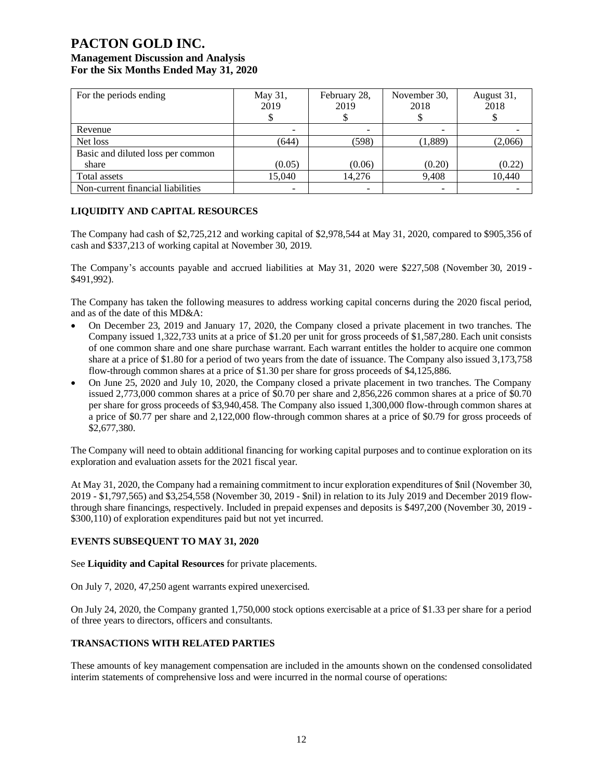| For the periods ending            | May 31,<br>2019 | February 28,<br>2019 | November 30,<br>2018 | August 31,<br>2018 |
|-----------------------------------|-----------------|----------------------|----------------------|--------------------|
| Revenue                           |                 |                      | ۰                    |                    |
| Net loss                          | (644)           | (598)                | (1,889)              | (2,066)            |
| Basic and diluted loss per common |                 |                      |                      |                    |
| share                             | (0.05)          | (0.06)               | (0.20)               | (0.22)             |
| Total assets                      | 15,040          | 14.276               | 9,408                | 10,440             |
| Non-current financial liabilities |                 |                      | ۰                    |                    |

#### **LIQUIDITY AND CAPITAL RESOURCES**

The Company had cash of \$2,725,212 and working capital of \$2,978,544 at May 31, 2020, compared to \$905,356 of cash and \$337,213 of working capital at November 30, 2019.

The Company's accounts payable and accrued liabilities at May 31, 2020 were \$227,508 (November 30, 2019 - \$491,992).

The Company has taken the following measures to address working capital concerns during the 2020 fiscal period, and as of the date of this MD&A:

- On December 23, 2019 and January 17, 2020, the Company closed a private placement in two tranches. The Company issued 1,322,733 units at a price of \$1.20 per unit for gross proceeds of \$1,587,280. Each unit consists of one common share and one share purchase warrant. Each warrant entitles the holder to acquire one common share at a price of \$1.80 for a period of two years from the date of issuance. The Company also issued 3,173,758 flow-through common shares at a price of \$1.30 per share for gross proceeds of \$4,125,886.
- On June 25, 2020 and July 10, 2020, the Company closed a private placement in two tranches. The Company issued 2,773,000 common shares at a price of \$0.70 per share and 2,856,226 common shares at a price of \$0.70 per share for gross proceeds of \$3,940,458. The Company also issued 1,300,000 flow-through common shares at a price of \$0.77 per share and 2,122,000 flow-through common shares at a price of \$0.79 for gross proceeds of \$2,677,380.

The Company will need to obtain additional financing for working capital purposes and to continue exploration on its exploration and evaluation assets for the 2021 fiscal year.

At May 31, 2020, the Company had a remaining commitment to incur exploration expenditures of \$nil (November 30, 2019 - \$1,797,565) and \$3,254,558 (November 30, 2019 - \$nil) in relation to its July 2019 and December 2019 flowthrough share financings, respectively. Included in prepaid expenses and deposits is \$497,200 (November 30, 2019 - \$300,110) of exploration expenditures paid but not yet incurred.

#### **EVENTS SUBSEQUENT TO MAY 31, 2020**

See **Liquidity and Capital Resources** for private placements.

On July 7, 2020, 47,250 agent warrants expired unexercised.

On July 24, 2020, the Company granted 1,750,000 stock options exercisable at a price of \$1.33 per share for a period of three years to directors, officers and consultants.

#### **TRANSACTIONS WITH RELATED PARTIES**

These amounts of key management compensation are included in the amounts shown on the condensed consolidated interim statements of comprehensive loss and were incurred in the normal course of operations: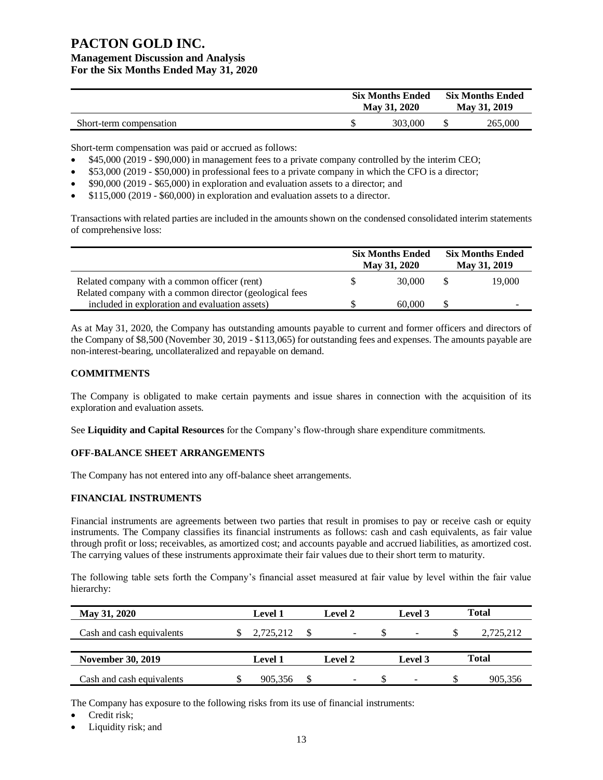|                         | <b>Six Months Ended</b><br>May 31, 2020 | <b>Six Months Ended</b><br>May 31, 2019 |         |
|-------------------------|-----------------------------------------|-----------------------------------------|---------|
| Short-term compensation | 303,000                                 |                                         | 265,000 |

Short-term compensation was paid or accrued as follows:

- \$45,000 (2019 \$90,000) in management fees to a private company controlled by the interim CEO;
- \$53,000 (2019 \$50,000) in professional fees to a private company in which the CFO is a director;
- \$90,000 (2019 \$65,000) in exploration and evaluation assets to a director; and
- \$115,000 (2019 \$60,000) in exploration and evaluation assets to a director.

Transactions with related parties are included in the amounts shown on the condensed consolidated interim statements of comprehensive loss:

|                                                                                                           | <b>Six Months Ended</b><br>May 31, 2020 | <b>Six Months Ended</b><br>May 31, 2019 |
|-----------------------------------------------------------------------------------------------------------|-----------------------------------------|-----------------------------------------|
| Related company with a common officer (rent)                                                              | 30,000                                  | 19,000                                  |
| Related company with a common director (geological fees<br>included in exploration and evaluation assets) | 60,000                                  | -                                       |

As at May 31, 2020, the Company has outstanding amounts payable to current and former officers and directors of the Company of \$8,500 (November 30, 2019 - \$113,065) for outstanding fees and expenses. The amounts payable are non-interest-bearing, uncollateralized and repayable on demand.

#### **COMMITMENTS**

The Company is obligated to make certain payments and issue shares in connection with the acquisition of its exploration and evaluation assets.

See **Liquidity and Capital Resources** for the Company's flow-through share expenditure commitments.

#### **OFF-BALANCE SHEET ARRANGEMENTS**

The Company has not entered into any off-balance sheet arrangements.

#### **FINANCIAL INSTRUMENTS**

Financial instruments are agreements between two parties that result in promises to pay or receive cash or equity instruments. The Company classifies its financial instruments as follows: cash and cash equivalents, as fair value through profit or loss; receivables, as amortized cost; and accounts payable and accrued liabilities, as amortized cost. The carrying values of these instruments approximate their fair values due to their short term to maturity.

The following table sets forth the Company's financial asset measured at fair value by level within the fair value hierarchy:

| May 31, 2020              | <b>Level 1</b> | Level 2                  | Level 3                  | Total        |
|---------------------------|----------------|--------------------------|--------------------------|--------------|
| Cash and cash equivalents | 2,725,212      | $\overline{\phantom{0}}$ |                          | 2,725,212    |
| <b>November 30, 2019</b>  | <b>Level 1</b> | <b>Level 2</b>           | Level 3                  | <b>Total</b> |
| Cash and cash equivalents | 905,356        | -                        | $\overline{\phantom{0}}$ | 905,356      |

The Company has exposure to the following risks from its use of financial instruments:

- Credit risk;
- Liquidity risk; and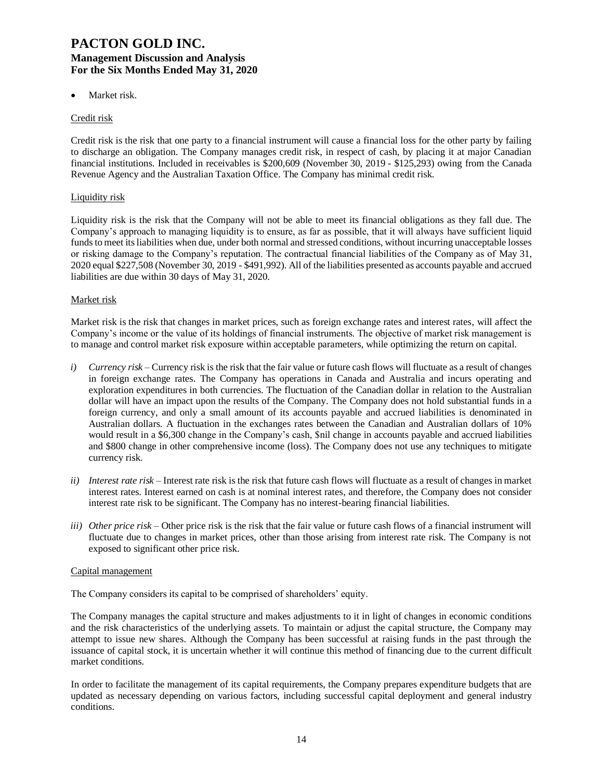Market risk.

#### Credit risk

Credit risk is the risk that one party to a financial instrument will cause a financial loss for the other party by failing to discharge an obligation. The Company manages credit risk, in respect of cash, by placing it at major Canadian financial institutions. Included in receivables is \$200,609 (November 30, 2019 - \$125,293) owing from the Canada Revenue Agency and the Australian Taxation Office. The Company has minimal credit risk.

#### Liquidity risk

Liquidity risk is the risk that the Company will not be able to meet its financial obligations as they fall due. The Company's approach to managing liquidity is to ensure, as far as possible, that it will always have sufficient liquid funds to meet its liabilities when due, under both normal and stressed conditions, without incurring unacceptable losses or risking damage to the Company's reputation. The contractual financial liabilities of the Company as of May 31, 2020 equal \$227,508 (November 30, 2019 - \$491,992). All of the liabilities presented as accounts payable and accrued liabilities are due within 30 days of May 31, 2020.

#### Market risk

Market risk is the risk that changes in market prices, such as foreign exchange rates and interest rates, will affect the Company's income or the value of its holdings of financial instruments. The objective of market risk management is to manage and control market risk exposure within acceptable parameters, while optimizing the return on capital.

- *i*) *Currency risk* Currency risk is the risk that the fair value or future cash flows will fluctuate as a result of changes in foreign exchange rates. The Company has operations in Canada and Australia and incurs operating and exploration expenditures in both currencies. The fluctuation of the Canadian dollar in relation to the Australian dollar will have an impact upon the results of the Company. The Company does not hold substantial funds in a foreign currency, and only a small amount of its accounts payable and accrued liabilities is denominated in Australian dollars. A fluctuation in the exchanges rates between the Canadian and Australian dollars of 10% would result in a \$6,300 change in the Company's cash, \$nil change in accounts payable and accrued liabilities and \$800 change in other comprehensive income (loss). The Company does not use any techniques to mitigate currency risk.
- *ii) Interest rate risk –* Interest rate risk is the risk that future cash flows will fluctuate as a result of changes in market interest rates. Interest earned on cash is at nominal interest rates, and therefore, the Company does not consider interest rate risk to be significant. The Company has no interest-bearing financial liabilities.
- *iii) Other price risk –* Other price risk is the risk that the fair value or future cash flows of a financial instrument will fluctuate due to changes in market prices, other than those arising from interest rate risk. The Company is not exposed to significant other price risk.

#### Capital management

The Company considers its capital to be comprised of shareholders' equity.

The Company manages the capital structure and makes adjustments to it in light of changes in economic conditions and the risk characteristics of the underlying assets. To maintain or adjust the capital structure, the Company may attempt to issue new shares. Although the Company has been successful at raising funds in the past through the issuance of capital stock, it is uncertain whether it will continue this method of financing due to the current difficult market conditions.

In order to facilitate the management of its capital requirements, the Company prepares expenditure budgets that are updated as necessary depending on various factors, including successful capital deployment and general industry conditions.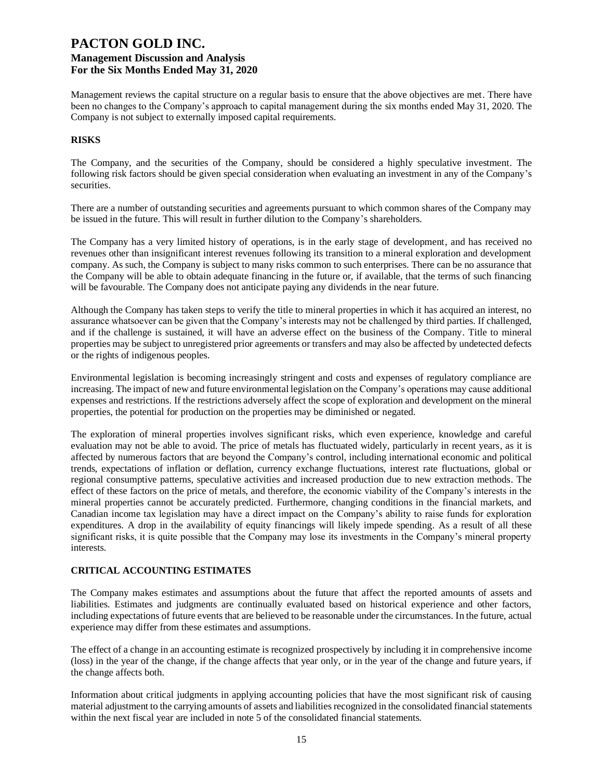Management reviews the capital structure on a regular basis to ensure that the above objectives are met. There have been no changes to the Company's approach to capital management during the six months ended May 31, 2020. The Company is not subject to externally imposed capital requirements.

#### **RISKS**

The Company, and the securities of the Company, should be considered a highly speculative investment. The following risk factors should be given special consideration when evaluating an investment in any of the Company's securities.

There are a number of outstanding securities and agreements pursuant to which common shares of the Company may be issued in the future. This will result in further dilution to the Company's shareholders.

The Company has a very limited history of operations, is in the early stage of development, and has received no revenues other than insignificant interest revenues following its transition to a mineral exploration and development company. As such, the Company is subject to many risks common to such enterprises. There can be no assurance that the Company will be able to obtain adequate financing in the future or, if available, that the terms of such financing will be favourable. The Company does not anticipate paying any dividends in the near future.

Although the Company has taken steps to verify the title to mineral properties in which it has acquired an interest, no assurance whatsoever can be given that the Company's interests may not be challenged by third parties. If challenged, and if the challenge is sustained, it will have an adverse effect on the business of the Company. Title to mineral properties may be subject to unregistered prior agreements or transfers and may also be affected by undetected defects or the rights of indigenous peoples.

Environmental legislation is becoming increasingly stringent and costs and expenses of regulatory compliance are increasing. The impact of new and future environmental legislation on the Company's operations may cause additional expenses and restrictions. If the restrictions adversely affect the scope of exploration and development on the mineral properties, the potential for production on the properties may be diminished or negated.

The exploration of mineral properties involves significant risks, which even experience, knowledge and careful evaluation may not be able to avoid. The price of metals has fluctuated widely, particularly in recent years, as it is affected by numerous factors that are beyond the Company's control, including international economic and political trends, expectations of inflation or deflation, currency exchange fluctuations, interest rate fluctuations, global or regional consumptive patterns, speculative activities and increased production due to new extraction methods. The effect of these factors on the price of metals, and therefore, the economic viability of the Company's interests in the mineral properties cannot be accurately predicted. Furthermore, changing conditions in the financial markets, and Canadian income tax legislation may have a direct impact on the Company's ability to raise funds for exploration expenditures. A drop in the availability of equity financings will likely impede spending. As a result of all these significant risks, it is quite possible that the Company may lose its investments in the Company's mineral property interests.

#### **CRITICAL ACCOUNTING ESTIMATES**

The Company makes estimates and assumptions about the future that affect the reported amounts of assets and liabilities. Estimates and judgments are continually evaluated based on historical experience and other factors, including expectations of future events that are believed to be reasonable under the circumstances. In the future, actual experience may differ from these estimates and assumptions.

The effect of a change in an accounting estimate is recognized prospectively by including it in comprehensive income (loss) in the year of the change, if the change affects that year only, or in the year of the change and future years, if the change affects both.

Information about critical judgments in applying accounting policies that have the most significant risk of causing material adjustment to the carrying amounts of assets and liabilities recognized in the consolidated financial statements within the next fiscal year are included in note 5 of the consolidated financial statements.